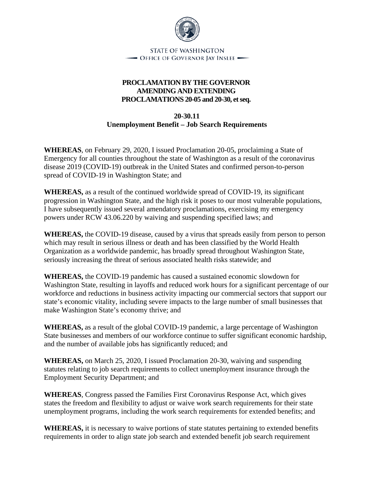

**STATE OF WASHINGTON** - Office of Governor Jay Inslee —

## **PROCLAMATION BY THE GOVERNOR AMENDING AND EXTENDING PROCLAMATIONS 20-05 and 20-30, et seq.**

**20-30.11 Unemployment Benefit – Job Search Requirements**

**WHEREAS**, on February 29, 2020, I issued Proclamation 20-05, proclaiming a State of Emergency for all counties throughout the state of Washington as a result of the coronavirus disease 2019 (COVID-19) outbreak in the United States and confirmed person-to-person spread of COVID-19 in Washington State; and

**WHEREAS,** as a result of the continued worldwide spread of COVID-19, its significant progression in Washington State, and the high risk it poses to our most vulnerable populations, I have subsequently issued several amendatory proclamations, exercising my emergency powers under RCW 43.06.220 by waiving and suspending specified laws; and

**WHEREAS,** the COVID-19 disease, caused by a virus that spreads easily from person to person which may result in serious illness or death and has been classified by the World Health Organization as a worldwide pandemic, has broadly spread throughout Washington State, seriously increasing the threat of serious associated health risks statewide; and

**WHEREAS,** the COVID-19 pandemic has caused a sustained economic slowdown for Washington State, resulting in layoffs and reduced work hours for a significant percentage of our workforce and reductions in business activity impacting our commercial sectors that support our state's economic vitality, including severe impacts to the large number of small businesses that make Washington State's economy thrive; and

**WHEREAS,** as a result of the global COVID-19 pandemic, a large percentage of Washington State businesses and members of our workforce continue to suffer significant economic hardship, and the number of available jobs has significantly reduced; and

**WHEREAS,** on March 25, 2020, I issued Proclamation 20-30, waiving and suspending statutes relating to job search requirements to collect unemployment insurance through the Employment Security Department; and

**WHEREAS**, Congress passed the Families First Coronavirus Response Act, which gives states the freedom and flexibility to adjust or waive work search requirements for their state unemployment programs, including the work search requirements for extended benefits; and

**WHEREAS,** it is necessary to waive portions of state statutes pertaining to extended benefits requirements in order to align state job search and extended benefit job search requirement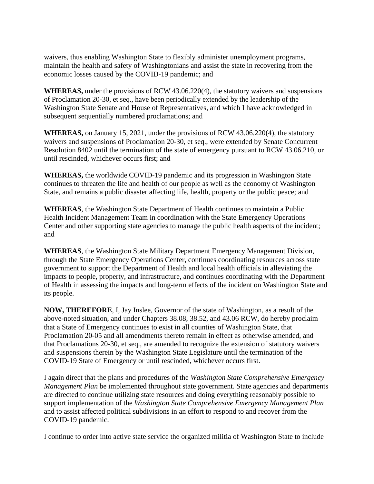waivers, thus enabling Washington State to flexibly administer unemployment programs, maintain the health and safety of Washingtonians and assist the state in recovering from the economic losses caused by the COVID-19 pandemic; and

**WHEREAS,** under the provisions of RCW 43.06.220(4), the statutory waivers and suspensions of Proclamation 20-30, et seq., have been periodically extended by the leadership of the Washington State Senate and House of Representatives, and which I have acknowledged in subsequent sequentially numbered proclamations; and

**WHEREAS,** on January 15, 2021, under the provisions of RCW 43.06.220(4), the statutory waivers and suspensions of Proclamation 20-30, et seq., were extended by Senate Concurrent Resolution 8402 until the termination of the state of emergency pursuant to RCW 43.06.210, or until rescinded, whichever occurs first; and

**WHEREAS,** the worldwide COVID-19 pandemic and its progression in Washington State continues to threaten the life and health of our people as well as the economy of Washington State, and remains a public disaster affecting life, health, property or the public peace; and

**WHEREAS**, the Washington State Department of Health continues to maintain a Public Health Incident Management Team in coordination with the State Emergency Operations Center and other supporting state agencies to manage the public health aspects of the incident; and

**WHEREAS**, the Washington State Military Department Emergency Management Division, through the State Emergency Operations Center, continues coordinating resources across state government to support the Department of Health and local health officials in alleviating the impacts to people, property, and infrastructure, and continues coordinating with the Department of Health in assessing the impacts and long-term effects of the incident on Washington State and its people.

**NOW, THEREFORE**, I, Jay Inslee, Governor of the state of Washington, as a result of the above-noted situation, and under Chapters 38.08, 38.52, and 43.06 RCW, do hereby proclaim that a State of Emergency continues to exist in all counties of Washington State, that Proclamation 20-05 and all amendments thereto remain in effect as otherwise amended, and that Proclamations 20-30, et seq., are amended to recognize the extension of statutory waivers and suspensions therein by the Washington State Legislature until the termination of the COVID-19 State of Emergency or until rescinded, whichever occurs first.

I again direct that the plans and procedures of the *Washington State Comprehensive Emergency Management Plan* be implemented throughout state government. State agencies and departments are directed to continue utilizing state resources and doing everything reasonably possible to support implementation of the *Washington State Comprehensive Emergency Management Plan* and to assist affected political subdivisions in an effort to respond to and recover from the COVID-19 pandemic.

I continue to order into active state service the organized militia of Washington State to include